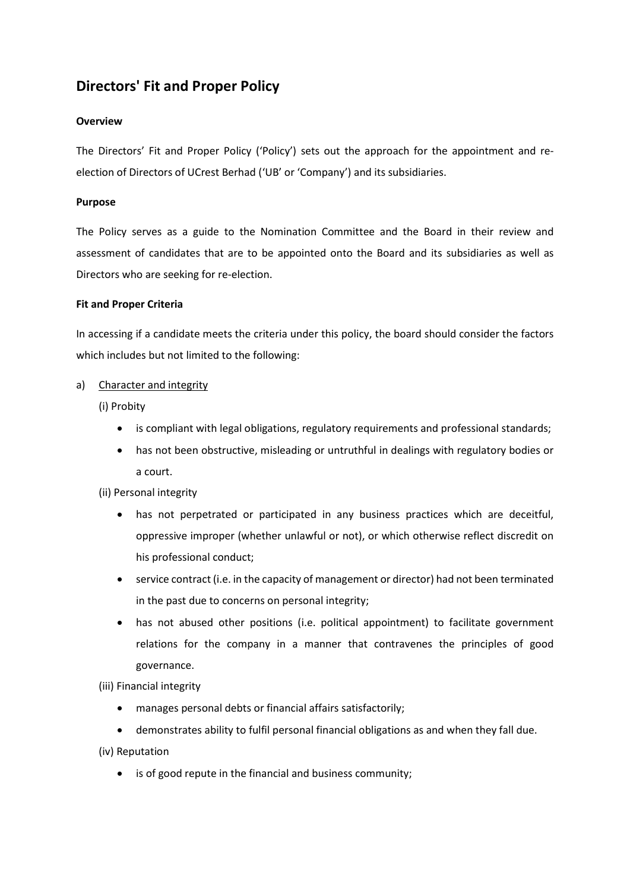# Directors' Fit and Proper Policy

### **Overview**

The Directors' Fit and Proper Policy ('Policy') sets out the approach for the appointment and reelection of Directors of UCrest Berhad ('UB' or 'Company') and its subsidiaries.

#### Purpose

The Policy serves as a guide to the Nomination Committee and the Board in their review and assessment of candidates that are to be appointed onto the Board and its subsidiaries as well as Directors who are seeking for re-election.

#### Fit and Proper Criteria

In accessing if a candidate meets the criteria under this policy, the board should consider the factors which includes but not limited to the following:

#### a) Character and integrity

(i) Probity

- is compliant with legal obligations, regulatory requirements and professional standards;
- has not been obstructive, misleading or untruthful in dealings with regulatory bodies or a court.

(ii) Personal integrity

- has not perpetrated or participated in any business practices which are deceitful, oppressive improper (whether unlawful or not), or which otherwise reflect discredit on his professional conduct;
- service contract (i.e. in the capacity of management or director) had not been terminated in the past due to concerns on personal integrity;
- has not abused other positions (i.e. political appointment) to facilitate government relations for the company in a manner that contravenes the principles of good governance.

(iii) Financial integrity

- manages personal debts or financial affairs satisfactorily;
- demonstrates ability to fulfil personal financial obligations as and when they fall due.

(iv) Reputation

is of good repute in the financial and business community;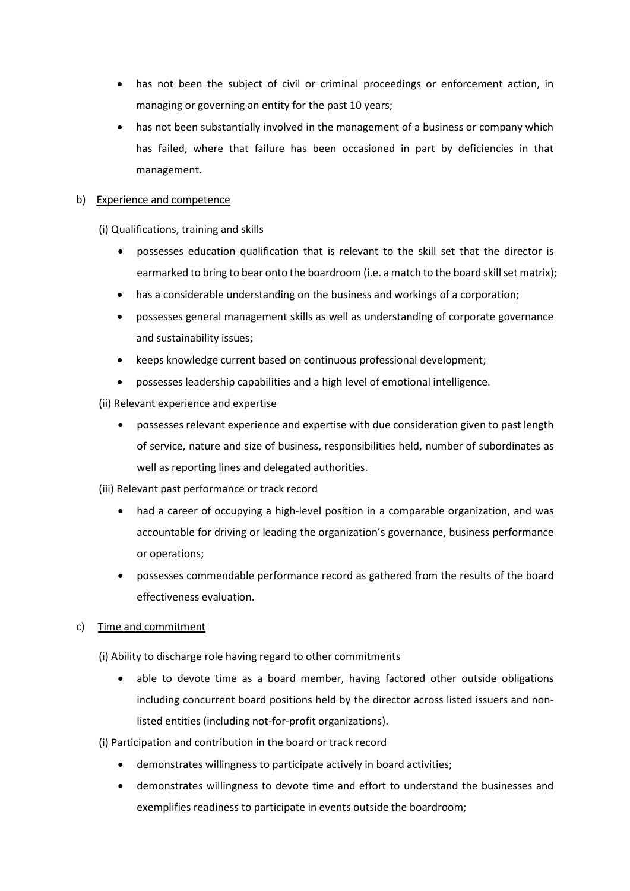- has not been the subject of civil or criminal proceedings or enforcement action, in managing or governing an entity for the past 10 years;
- has not been substantially involved in the management of a business or company which has failed, where that failure has been occasioned in part by deficiencies in that management.

### b) Experience and competence

(i) Qualifications, training and skills

- possesses education qualification that is relevant to the skill set that the director is earmarked to bring to bear onto the boardroom (i.e. a match to the board skill set matrix);
- has a considerable understanding on the business and workings of a corporation;
- possesses general management skills as well as understanding of corporate governance and sustainability issues;
- keeps knowledge current based on continuous professional development;
- possesses leadership capabilities and a high level of emotional intelligence.
- (ii) Relevant experience and expertise
	- possesses relevant experience and expertise with due consideration given to past length of service, nature and size of business, responsibilities held, number of subordinates as well as reporting lines and delegated authorities.
- (iii) Relevant past performance or track record
	- had a career of occupying a high-level position in a comparable organization, and was accountable for driving or leading the organization's governance, business performance or operations;
	- possesses commendable performance record as gathered from the results of the board effectiveness evaluation.

## c) Time and commitment

(i) Ability to discharge role having regard to other commitments

- able to devote time as a board member, having factored other outside obligations including concurrent board positions held by the director across listed issuers and nonlisted entities (including not-for-profit organizations).
- (i) Participation and contribution in the board or track record
	- demonstrates willingness to participate actively in board activities;
	- demonstrates willingness to devote time and effort to understand the businesses and exemplifies readiness to participate in events outside the boardroom;